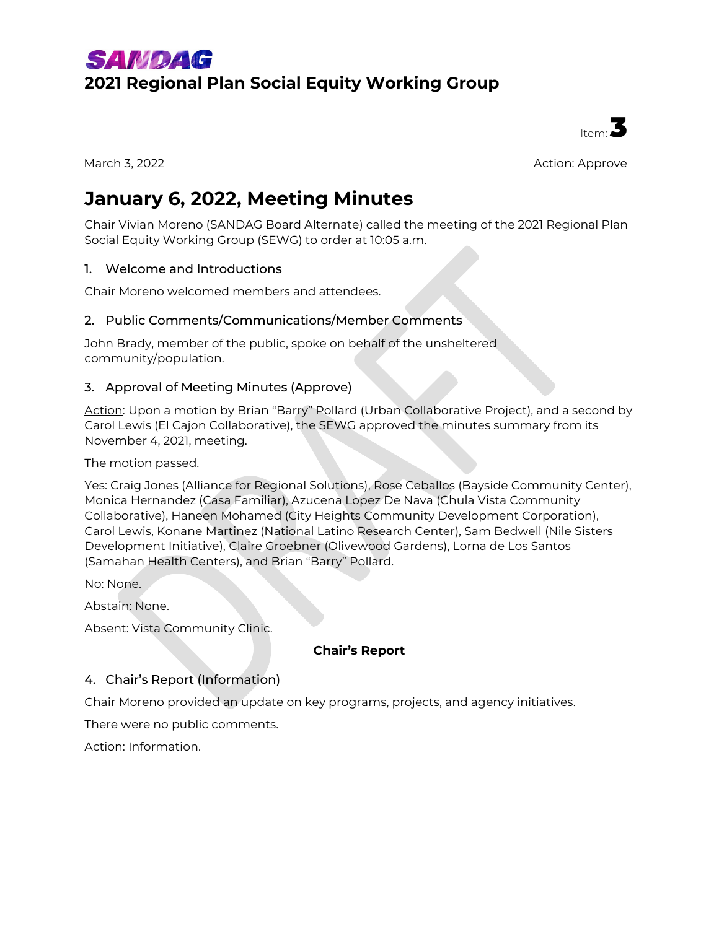## **SAMDAG 2021 Regional Plan Social Equity Working Group**



March 3, 2022 Action: Approve

# **January 6, 2022, Meeting Minutes**

Chair Vivian Moreno (SANDAG Board Alternate) called the meeting of the 2021 Regional Plan Social Equity Working Group (SEWG) to order at 10:05 a.m.

## 1. Welcome and Introductions

Chair Moreno welcomed members and attendees.

## 2. Public Comments/Communications/Member Comments

John Brady, member of the public, spoke on behalf of the unsheltered community/population.

## 3. Approval of Meeting Minutes (Approve)

Action: Upon a motion by Brian "Barry" Pollard (Urban Collaborative Project), and a second by Carol Lewis (El Cajon Collaborative), the SEWG approved the minutes summary from its November 4, 2021, meeting.

The motion passed.

Yes: Craig Jones (Alliance for Regional Solutions), Rose Ceballos (Bayside Community Center), Monica Hernandez (Casa Familiar), Azucena Lopez De Nava (Chula Vista Community Collaborative), Haneen Mohamed (City Heights Community Development Corporation), Carol Lewis, Konane Martinez (National Latino Research Center), Sam Bedwell (Nile Sisters Development Initiative), Claire Groebner (Olivewood Gardens), Lorna de Los Santos (Samahan Health Centers), and Brian "Barry" Pollard.

No: None.

Abstain: None.

Absent: Vista Community Clinic.

## **Chair's Report**

## 4. Chair's Report (Information)

Chair Moreno provided an update on key programs, projects, and agency initiatives.

There were no public comments.

Action: Information.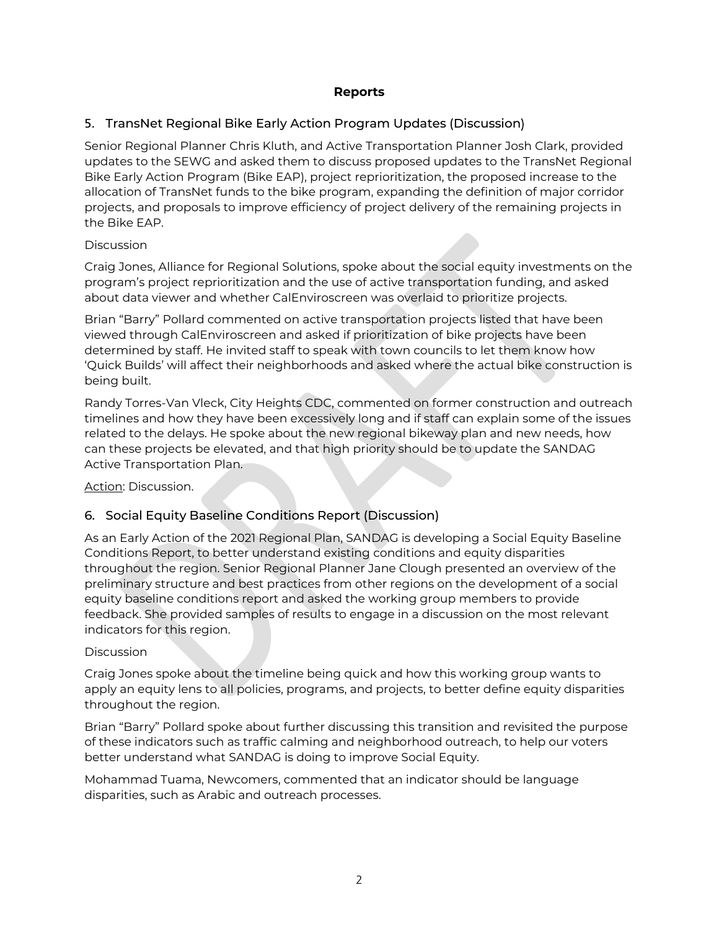## **Reports**

## 5. TransNet Regional Bike Early Action Program Updates (Discussion)

Senior Regional Planner Chris Kluth, and Active Transportation Planner Josh Clark, provided updates to the SEWG and asked them to discuss proposed updates to the TransNet Regional Bike Early Action Program (Bike EAP), project reprioritization, the proposed increase to the allocation of TransNet funds to the bike program, expanding the definition of major corridor projects, and proposals to improve efficiency of project delivery of the remaining projects in the Bike EAP.

#### Discussion

Craig Jones, Alliance for Regional Solutions, spoke about the social equity investments on the program's project reprioritization and the use of active transportation funding, and asked about data viewer and whether CalEnviroscreen was overlaid to prioritize projects.

Brian "Barry" Pollard commented on active transportation projects listed that have been viewed through CalEnviroscreen and asked if prioritization of bike projects have been determined by staff. He invited staff to speak with town councils to let them know how 'Quick Builds' will affect their neighborhoods and asked where the actual bike construction is being built.

Randy Torres-Van Vleck, City Heights CDC, commented on former construction and outreach timelines and how they have been excessively long and if staff can explain some of the issues related to the delays. He spoke about the new regional bikeway plan and new needs, how can these projects be elevated, and that high priority should be to update the SANDAG Active Transportation Plan.

Action: Discussion.

## 6. Social Equity Baseline Conditions Report (Discussion)

As an Early Action of the 2021 Regional Plan, SANDAG is developing a Social Equity Baseline Conditions Report, to better understand existing conditions and equity disparities throughout the region. Senior Regional Planner Jane Clough presented an overview of the preliminary structure and best practices from other regions on the development of a social equity baseline conditions report and asked the working group members to provide feedback. She provided samples of results to engage in a discussion on the most relevant indicators for this region.

## Discussion

Craig Jones spoke about the timeline being quick and how this working group wants to apply an equity lens to all policies, programs, and projects, to better define equity disparities throughout the region.

Brian "Barry" Pollard spoke about further discussing this transition and revisited the purpose of these indicators such as traffic calming and neighborhood outreach, to help our voters better understand what SANDAG is doing to improve Social Equity.

Mohammad Tuama, Newcomers, commented that an indicator should be language disparities, such as Arabic and outreach processes.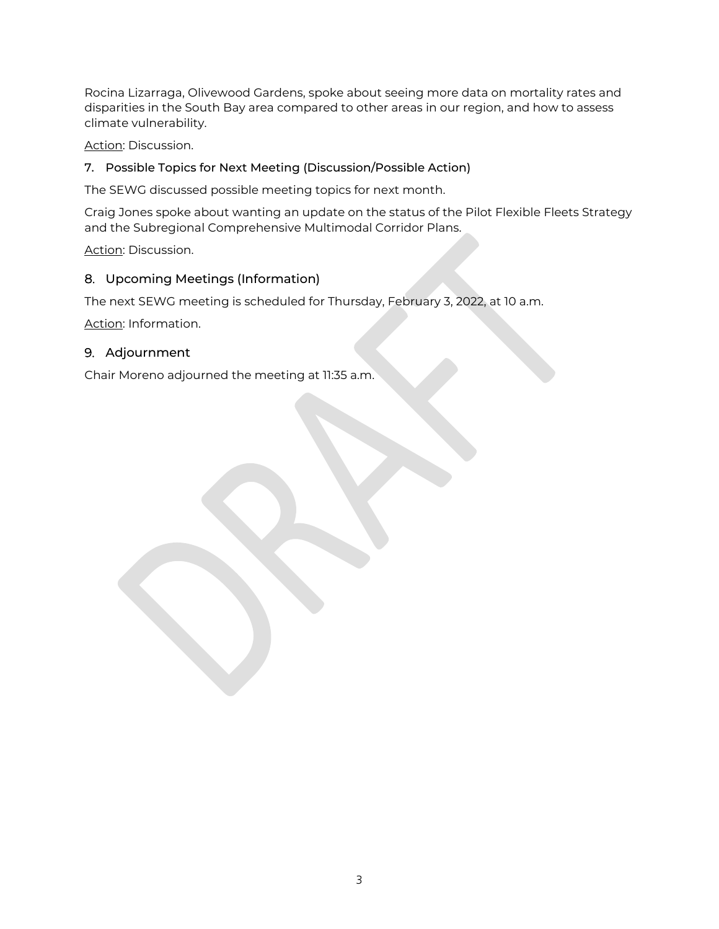Rocina Lizarraga, Olivewood Gardens, spoke about seeing more data on mortality rates and disparities in the South Bay area compared to other areas in our region, and how to assess climate vulnerability.

Action: Discussion.

## 7. Possible Topics for Next Meeting (Discussion/Possible Action)

The SEWG discussed possible meeting topics for next month.

Craig Jones spoke about wanting an update on the status of the Pilot Flexible Fleets Strategy and the Subregional Comprehensive Multimodal Corridor Plans.

Action: Discussion.

## 8. Upcoming Meetings (Information)

The next SEWG meeting is scheduled for Thursday, February 3, 2022, at 10 a.m.

Action: Information.

## 9. Adjournment

Chair Moreno adjourned the meeting at 11:35 a.m.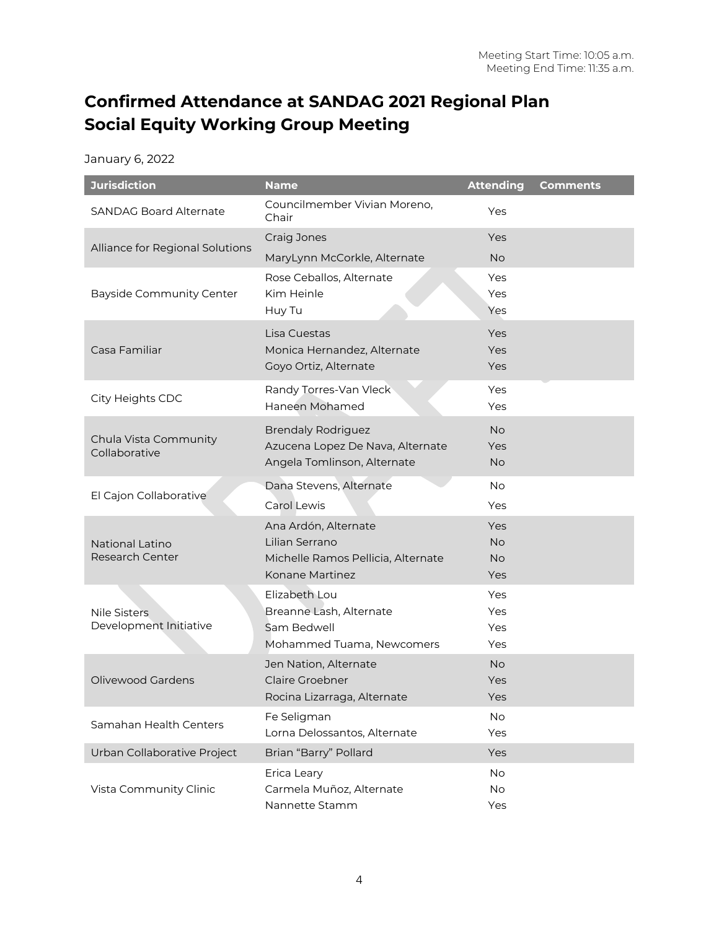## **Confirmed Attendance at SANDAG 2021 Regional Plan Social Equity Working Group Meeting**

|  |  | January 6, 2022 |  |
|--|--|-----------------|--|
|  |  |                 |  |

| <b>Jurisdiction</b>                       | <b>Name</b>                                          | <b>Attending</b>       | <b>Comments</b> |
|-------------------------------------------|------------------------------------------------------|------------------------|-----------------|
| <b>SANDAG Board Alternate</b>             | Councilmember Vivian Moreno,<br>Chair                | Yes                    |                 |
| Alliance for Regional Solutions           | Craig Jones                                          | Yes                    |                 |
|                                           | MaryLynn McCorkle, Alternate                         | <b>No</b>              |                 |
|                                           | Rose Ceballos, Alternate                             | Yes                    |                 |
| <b>Bayside Community Center</b>           | Kim Heinle<br>Huy Tu                                 | Yes<br>Yes             |                 |
|                                           | Lisa Cuestas                                         | Yes                    |                 |
| Casa Familiar                             | Monica Hernandez, Alternate                          | Yes                    |                 |
|                                           | Goyo Ortiz, Alternate                                | Yes                    |                 |
| City Heights CDC                          | Randy Torres-Van Vleck<br>Haneen Mohamed             | Yes<br>Yes             |                 |
|                                           | <b>Brendaly Rodriguez</b>                            | <b>No</b>              |                 |
| Chula Vista Community<br>Collaborative    | Azucena Lopez De Nava, Alternate                     | Yes                    |                 |
|                                           | Angela Tomlinson, Alternate                          | <b>No</b>              |                 |
| El Cajon Collaborative                    | Dana Stevens, Alternate                              | <b>No</b>              |                 |
|                                           | Carol Lewis                                          | Yes                    |                 |
|                                           | Ana Ardón, Alternate                                 | Yes                    |                 |
| National Latino<br><b>Research Center</b> | Lilian Serrano<br>Michelle Ramos Pellicia, Alternate | <b>No</b><br><b>No</b> |                 |
|                                           | Konane Martinez                                      | Yes                    |                 |
|                                           | Elizabeth Lou                                        | Yes                    |                 |
| <b>Nile Sisters</b>                       | Breanne Lash, Alternate                              | Yes                    |                 |
| Development Initiative                    | Sam Bedwell                                          | Yes                    |                 |
|                                           | Mohammed Tuama, Newcomers                            | Yes                    |                 |
| Olivewood Gardens                         | Jen Nation, Alternate<br><b>Claire Groebner</b>      | <b>No</b><br>Yes       |                 |
|                                           | Rocina Lizarraga, Alternate                          | Yes                    |                 |
|                                           | Fe Seligman                                          | No                     |                 |
| Samahan Health Centers                    | Lorna Delossantos, Alternate                         | Yes                    |                 |
| Urban Collaborative Project               | Brian "Barry" Pollard                                | Yes                    |                 |
|                                           | Erica Leary                                          | No                     |                 |
| Vista Community Clinic                    | Carmela Muñoz, Alternate<br>Nannette Stamm           | No<br>Yes              |                 |